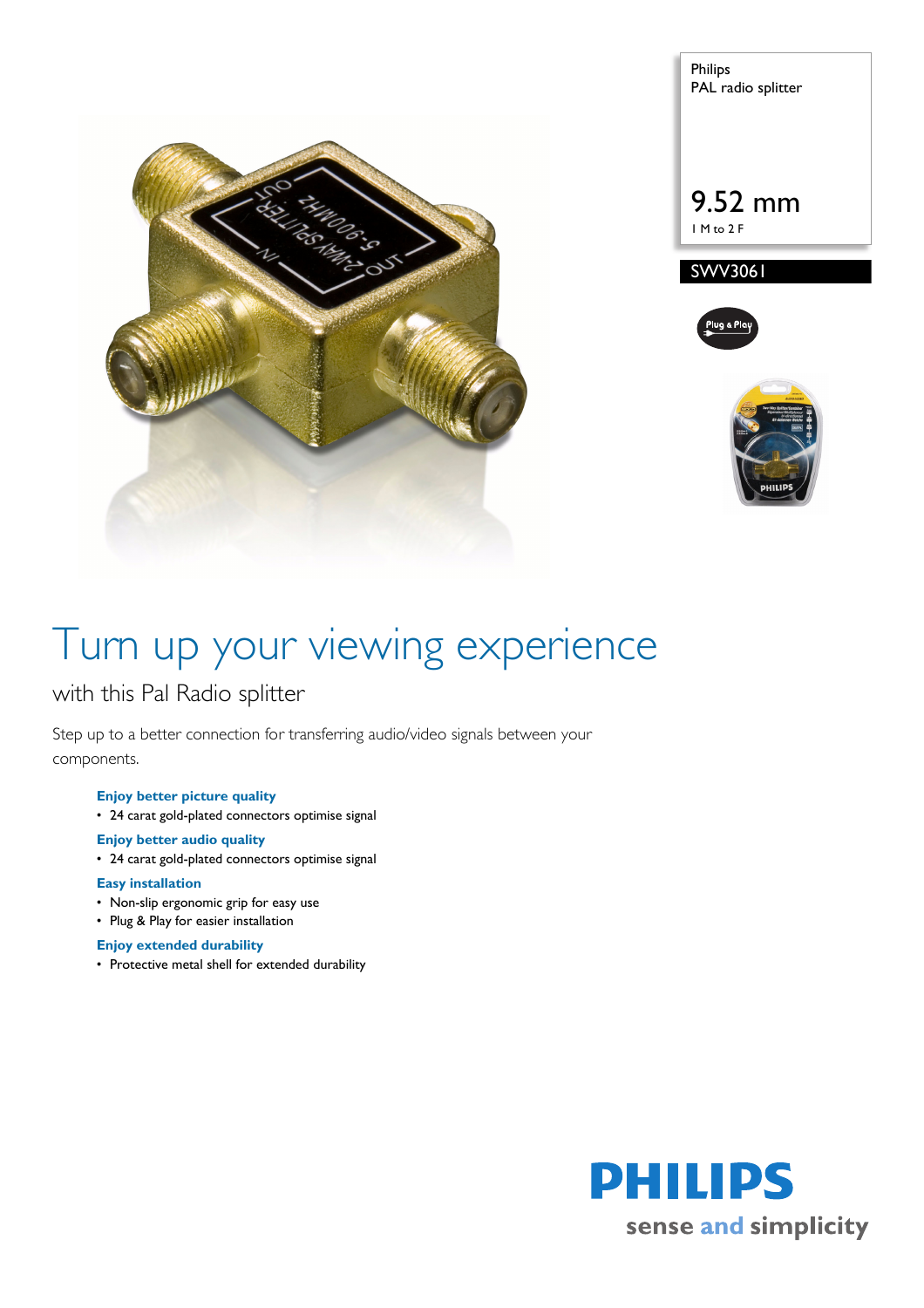

Philips PAL radio splitter 9.52 mm 1 M to 2 F SWV3061



# Turn up your viewing experience

## with this Pal Radio splitter

Step up to a better connection for transferring audio/video signals between your components.

### **Enjoy better picture quality**

• 24 carat gold-plated connectors optimise signal

### **Enjoy better audio quality**

• 24 carat gold-plated connectors optimise signal

### **Easy installation**

- Non-slip ergonomic grip for easy use
- Plug & Play for easier installation

### **Enjoy extended durability**

• Protective metal shell for extended durability